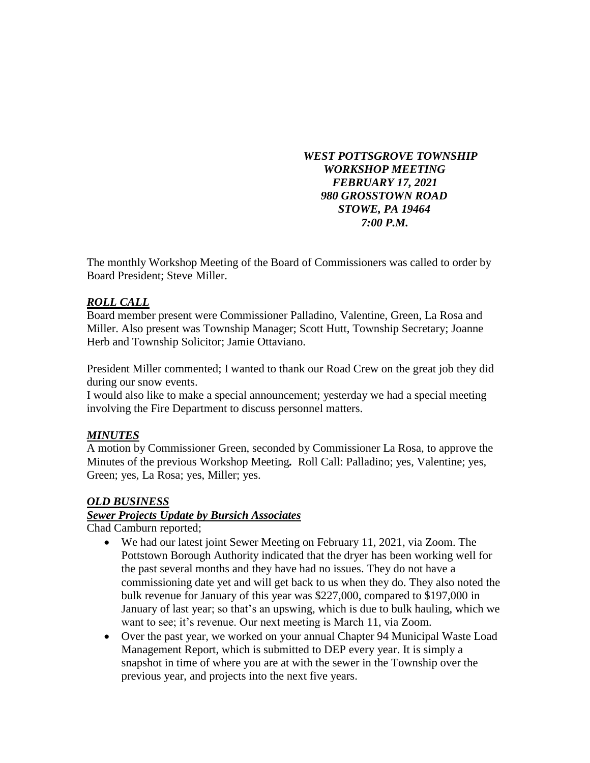#### *WEST POTTSGROVE TOWNSHIP WORKSHOP MEETING FEBRUARY 17, 2021 980 GROSSTOWN ROAD STOWE, PA 19464 7:00 P.M.*

The monthly Workshop Meeting of the Board of Commissioners was called to order by Board President; Steve Miller.

# *ROLL CALL*

Board member present were Commissioner Palladino, Valentine, Green, La Rosa and Miller. Also present was Township Manager; Scott Hutt, Township Secretary; Joanne Herb and Township Solicitor; Jamie Ottaviano.

President Miller commented; I wanted to thank our Road Crew on the great job they did during our snow events.

I would also like to make a special announcement; yesterday we had a special meeting involving the Fire Department to discuss personnel matters.

# *MINUTES*

A motion by Commissioner Green, seconded by Commissioner La Rosa, to approve the Minutes of the previous Workshop Meeting*.* Roll Call: Palladino; yes, Valentine; yes, Green; yes, La Rosa; yes, Miller; yes.

# *OLD BUSINESS*

# *Sewer Projects Update by Bursich Associates*

Chad Camburn reported;

- We had our latest joint Sewer Meeting on February 11, 2021, via Zoom. The Pottstown Borough Authority indicated that the dryer has been working well for the past several months and they have had no issues. They do not have a commissioning date yet and will get back to us when they do. They also noted the bulk revenue for January of this year was \$227,000, compared to \$197,000 in January of last year; so that's an upswing, which is due to bulk hauling, which we want to see; it's revenue. Our next meeting is March 11, via Zoom.
- Over the past year, we worked on your annual Chapter 94 Municipal Waste Load Management Report, which is submitted to DEP every year. It is simply a snapshot in time of where you are at with the sewer in the Township over the previous year, and projects into the next five years.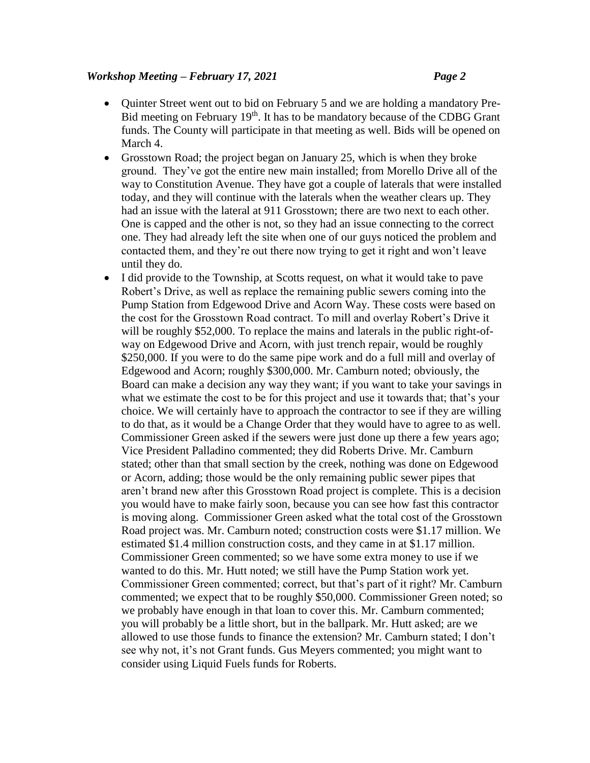#### *Workshop Meeting – February 17, 2021 Page 2*

- Quinter Street went out to bid on February 5 and we are holding a mandatory Pre-Bid meeting on February 19<sup>th</sup>. It has to be mandatory because of the CDBG Grant funds. The County will participate in that meeting as well. Bids will be opened on March 4.
- Grosstown Road; the project began on January 25, which is when they broke ground. They've got the entire new main installed; from Morello Drive all of the way to Constitution Avenue. They have got a couple of laterals that were installed today, and they will continue with the laterals when the weather clears up. They had an issue with the lateral at 911 Grosstown; there are two next to each other. One is capped and the other is not, so they had an issue connecting to the correct one. They had already left the site when one of our guys noticed the problem and contacted them, and they're out there now trying to get it right and won't leave until they do.
- I did provide to the Township, at Scotts request, on what it would take to pave Robert's Drive, as well as replace the remaining public sewers coming into the Pump Station from Edgewood Drive and Acorn Way. These costs were based on the cost for the Grosstown Road contract. To mill and overlay Robert's Drive it will be roughly \$52,000. To replace the mains and laterals in the public right-ofway on Edgewood Drive and Acorn, with just trench repair, would be roughly \$250,000. If you were to do the same pipe work and do a full mill and overlay of Edgewood and Acorn; roughly \$300,000. Mr. Camburn noted; obviously, the Board can make a decision any way they want; if you want to take your savings in what we estimate the cost to be for this project and use it towards that; that's your choice. We will certainly have to approach the contractor to see if they are willing to do that, as it would be a Change Order that they would have to agree to as well. Commissioner Green asked if the sewers were just done up there a few years ago; Vice President Palladino commented; they did Roberts Drive. Mr. Camburn stated; other than that small section by the creek, nothing was done on Edgewood or Acorn, adding; those would be the only remaining public sewer pipes that aren't brand new after this Grosstown Road project is complete. This is a decision you would have to make fairly soon, because you can see how fast this contractor is moving along. Commissioner Green asked what the total cost of the Grosstown Road project was. Mr. Camburn noted; construction costs were \$1.17 million. We estimated \$1.4 million construction costs, and they came in at \$1.17 million. Commissioner Green commented; so we have some extra money to use if we wanted to do this. Mr. Hutt noted; we still have the Pump Station work yet. Commissioner Green commented; correct, but that's part of it right? Mr. Camburn commented; we expect that to be roughly \$50,000. Commissioner Green noted; so we probably have enough in that loan to cover this. Mr. Camburn commented; you will probably be a little short, but in the ballpark. Mr. Hutt asked; are we allowed to use those funds to finance the extension? Mr. Camburn stated; I don't see why not, it's not Grant funds. Gus Meyers commented; you might want to consider using Liquid Fuels funds for Roberts.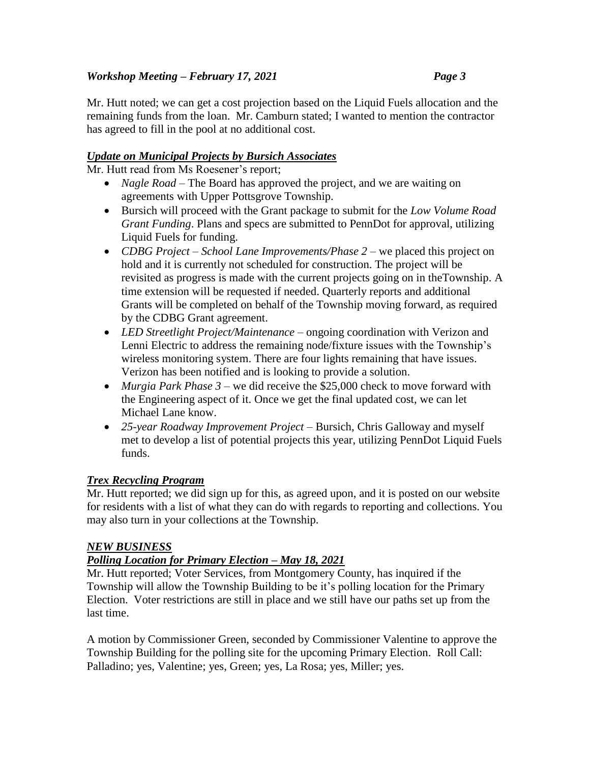# *Workshop Meeting – February 17, 2021 Page 3*

Mr. Hutt noted; we can get a cost projection based on the Liquid Fuels allocation and the remaining funds from the loan. Mr. Camburn stated; I wanted to mention the contractor has agreed to fill in the pool at no additional cost.

# *Update on Municipal Projects by Bursich Associates*

Mr. Hutt read from Ms Roesener's report;

- *Nagle Road* The Board has approved the project, and we are waiting on agreements with Upper Pottsgrove Township.
- Bursich will proceed with the Grant package to submit for the *Low Volume Road Grant Funding*. Plans and specs are submitted to PennDot for approval, utilizing Liquid Fuels for funding.
- *CDBG Project – School Lane Improvements/Phase 2* we placed this project on hold and it is currently not scheduled for construction. The project will be revisited as progress is made with the current projects going on in theTownship. A time extension will be requested if needed. Quarterly reports and additional Grants will be completed on behalf of the Township moving forward, as required by the CDBG Grant agreement.
- *LED Streetlight Project/Maintenance* ongoing coordination with Verizon and Lenni Electric to address the remaining node/fixture issues with the Township's wireless monitoring system. There are four lights remaining that have issues. Verizon has been notified and is looking to provide a solution.
- *Murgia Park Phase 3* we did receive the \$25,000 check to move forward with the Engineering aspect of it. Once we get the final updated cost, we can let Michael Lane know.
- *25-year Roadway Improvement Project* Bursich, Chris Galloway and myself met to develop a list of potential projects this year, utilizing PennDot Liquid Fuels funds.

# *Trex Recycling Program*

Mr. Hutt reported; we did sign up for this, as agreed upon, and it is posted on our website for residents with a list of what they can do with regards to reporting and collections. You may also turn in your collections at the Township.

# *NEW BUSINESS*

# *Polling Location for Primary Election – May 18, 2021*

Mr. Hutt reported; Voter Services, from Montgomery County, has inquired if the Township will allow the Township Building to be it's polling location for the Primary Election. Voter restrictions are still in place and we still have our paths set up from the last time.

A motion by Commissioner Green, seconded by Commissioner Valentine to approve the Township Building for the polling site for the upcoming Primary Election. Roll Call: Palladino; yes, Valentine; yes, Green; yes, La Rosa; yes, Miller; yes.